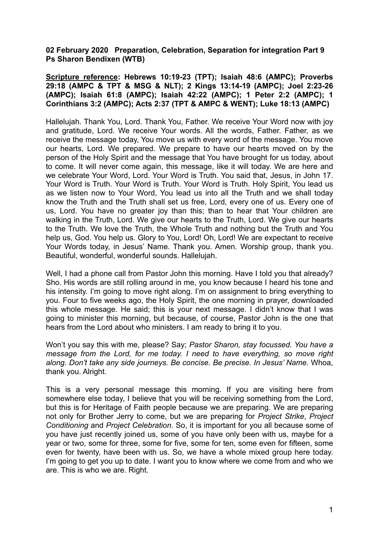## **02 February 2020 Preparation, Celebration, Separation for integration Part 9 Ps Sharon Bendixen (WTB)**

**Scripture reference: Hebrews 10:19-23 (TPT); Isaiah 48:6 (AMPC); Proverbs 29:18 (AMPC & TPT & MSG & NLT); 2 Kings 13:14-19 (AMPC); Joel 2:23-26 (AMPC); Isaiah 61:8 (AMPC); Isaiah 42:22 (AMPC); 1 Peter 2:2 (AMPC); 1 Corinthians 3:2 (AMPC); Acts 2:37 (TPT & AMPC & WENT); Luke 18:13 (AMPC)** 

Hallelujah. Thank You, Lord. Thank You, Father. We receive Your Word now with joy and gratitude, Lord. We receive Your words. All the words, Father. Father, as we receive the message today, You move us with every word of the message. You move our hearts, Lord. We prepared. We prepare to have our hearts moved on by the person of the Holy Spirit and the message that You have brought for us today, about to come. It will never come again, this message, like it will today. We are here and we celebrate Your Word, Lord. Your Word is Truth. You said that, Jesus, in John 17. Your Word is Truth. Your Word is Truth. Your Word is Truth. Holy Spirit, You lead us as we listen now to Your Word, You lead us into all the Truth and we shall today know the Truth and the Truth shall set us free, Lord, every one of us. Every one of us, Lord. You have no greater joy than this; than to hear that Your children are walking in the Truth, Lord. We give our hearts to the Truth, Lord. We give our hearts to the Truth. We love the Truth, the Whole Truth and nothing but the Truth and You help us, God. You help us. Glory to You, Lord! Oh, Lord! We are expectant to receive Your Words today, in Jesus' Name. Thank you. Amen. Worship group, thank you. Beautiful, wonderful, wonderful sounds. Hallelujah.

Well, I had a phone call from Pastor John this morning. Have I told you that already? Sho. His words are still rolling around in me, you know because I heard his tone and his intensity. I'm going to move right along. I'm on assignment to bring everything to you. Four to five weeks ago, the Holy Spirit, the one morning in prayer, downloaded this whole message. He said; this is your next message. I didn't know that I was going to minister this morning, but because, of course, Pastor John is the one that hears from the Lord about who ministers. I am ready to bring it to you.

Won't you say this with me, please? Say; *Pastor Sharon, stay focussed. You have a message from the Lord, for me today. I need to have everything, so move right along. Don't take any side journeys. Be concise. Be precise. In Jesus' Name.* Whoa, thank you. Alright.

This is a very personal message this morning. If you are visiting here from somewhere else today, I believe that you will be receiving something from the Lord, but this is for Heritage of Faith people because we are preparing. We are preparing not only for Brother Jerry to come, but we are preparing for *Project Strike*, *Project Conditioning* and *Project Celebration*. So, it is important for you all because some of you have just recently joined us, some of you have only been with us, maybe for a year or two, some for three, some for five, some for ten, some even for fifteen, some even for twenty, have been with us. So, we have a whole mixed group here today. I'm going to get you up to date. I want you to know where we come from and who we are. This is who we are. Right.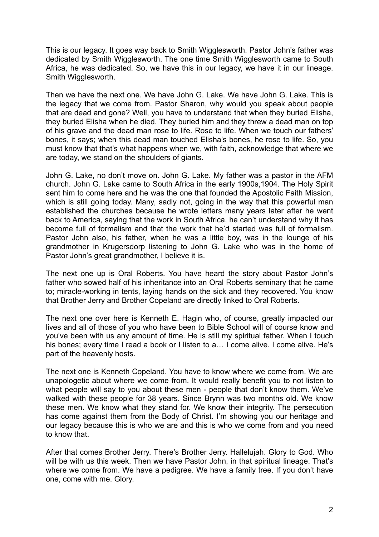This is our legacy. It goes way back to Smith Wigglesworth. Pastor John's father was dedicated by Smith Wigglesworth. The one time Smith Wigglesworth came to South Africa, he was dedicated. So, we have this in our legacy, we have it in our lineage. Smith Wigglesworth.

Then we have the next one. We have John G. Lake. We have John G. Lake. This is the legacy that we come from. Pastor Sharon, why would you speak about people that are dead and gone? Well, you have to understand that when they buried Elisha, they buried Elisha when he died. They buried him and they threw a dead man on top of his grave and the dead man rose to life. Rose to life. When we touch our fathers' bones, it says; when this dead man touched Elisha's bones, he rose to life. So, you must know that that's what happens when we, with faith, acknowledge that where we are today, we stand on the shoulders of giants.

John G. Lake, no don't move on. John G. Lake. My father was a pastor in the AFM church. John G. Lake came to South Africa in the early 1900s,1904. The Holy Spirit sent him to come here and he was the one that founded the Apostolic Faith Mission, which is still going today. Many, sadly not, going in the way that this powerful man established the churches because he wrote letters many years later after he went back to America, saying that the work in South Africa, he can't understand why it has become full of formalism and that the work that he'd started was full of formalism. Pastor John also, his father, when he was a little boy, was in the lounge of his grandmother in Krugersdorp listening to John G. Lake who was in the home of Pastor John's great grandmother, I believe it is.

The next one up is Oral Roberts. You have heard the story about Pastor John's father who sowed half of his inheritance into an Oral Roberts seminary that he came to; miracle-working in tents, laying hands on the sick and they recovered. You know that Brother Jerry and Brother Copeland are directly linked to Oral Roberts.

The next one over here is Kenneth E. Hagin who, of course, greatly impacted our lives and all of those of you who have been to Bible School will of course know and you've been with us any amount of time. He is still my spiritual father. When I touch his bones; every time I read a book or I listen to a... I come alive. I come alive. He's part of the heavenly hosts.

The next one is Kenneth Copeland. You have to know where we come from. We are unapologetic about where we come from. It would really benefit you to not listen to what people will say to you about these men - people that don't know them. We've walked with these people for 38 years. Since Brynn was two months old. We know these men. We know what they stand for. We know their integrity. The persecution has come against them from the Body of Christ. I'm showing you our heritage and our legacy because this is who we are and this is who we come from and you need to know that.

After that comes Brother Jerry. There's Brother Jerry. Hallelujah. Glory to God. Who will be with us this week. Then we have Pastor John, in that spiritual lineage. That's where we come from. We have a pedigree. We have a family tree. If you don't have one, come with me. Glory.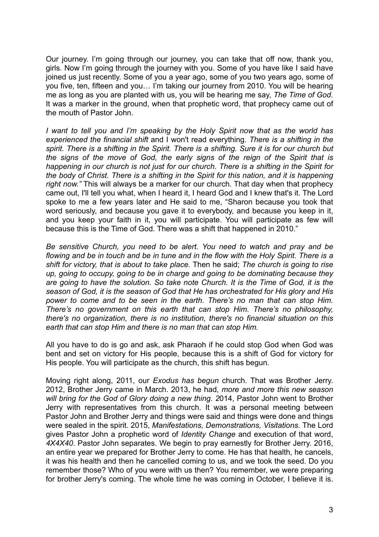Our journey. I'm going through our journey, you can take that off now, thank you, girls. Now I'm going through the journey with you. Some of you have like I said have joined us just recently. Some of you a year ago, some of you two years ago, some of you five, ten, fifteen and you… I'm taking our journey from 2010. You will be hearing me as long as you are planted with us, you will be hearing me say, *The Time of God.*  It was a marker in the ground, when that prophetic word, that prophecy came out of the mouth of Pastor John.

*I want to tell you and I'm speaking by the Holy Spirit now that as the world has experienced the financial shift* and I won't read everything. *There is a shifting in the spirit. There is a shifting in the Spirit. There is a shifting. Sure it is for our church but the signs of the move of God, the early signs of the reign of the Spirit that is happening in our church is not just for our church. There is a shifting in the Spirit for the body of Christ. There is a shifting in the Spirit for this nation, and it is happening right now."* This will always be a marker for our church. That day when that prophecy came out, I'll tell you what, when I heard it, I heard God and I knew that's it. The Lord spoke to me a few years later and He said to me, "Sharon because you took that word seriously, and because you gave it to everybody, and because you keep in it, and you keep your faith in it, you will participate. You will participate as few will because this is the Time of God. There was a shift that happened in 2010."

*Be sensitive Church, you need to be alert. You need to watch and pray and be flowing and be in touch and be in tune and in the flow with the Holy Spirit. There is a shift for victory, that is about to take place.* Then he said; *The church is going to rise up, going to occupy, going to be in charge and going to be dominating because they are going to have the solution. So take note Church. It is the Time of God, it is the season of God, it is the season of God that He has orchestrated for His glory and His power to come and to be seen in the earth*. *There's no man that can stop Him. There's no government on this earth that can stop Him. There's no philosophy, there's no organization, there is no institution, there's no financial situation on this earth that can stop Him and there is no man that can stop Him.*

All you have to do is go and ask, ask Pharaoh if he could stop God when God was bent and set on victory for His people, because this is a shift of God for victory for His people. You will participate as the church, this shift has begun.

Moving right along, 2011, our *Exodus has begun* church. That was Brother Jerry. 2012, Brother Jerry came in March. 2013, he had, *more and more this new season will bring for the God of Glory doing a new thing. 2*014, Pastor John went to Brother Jerry with representatives from this church. It was a personal meeting between Pastor John and Brother Jerry and things were said and things were done and things were sealed in the spirit. 2015, *Manifestations, Demonstrations, Visitations.* The Lord gives Pastor John a prophetic word of *Identity Change* and execution of that word, *4X4X40*. Pastor John separates. We begin to pray earnestly for Brother Jerry. 2016, an entire year we prepared for Brother Jerry to come. He has that health, he cancels, it was his health and then he cancelled coming to us, and we took the seed. Do you remember those? Who of you were with us then? You remember, we were preparing for brother Jerry's coming. The whole time he was coming in October, I believe it is.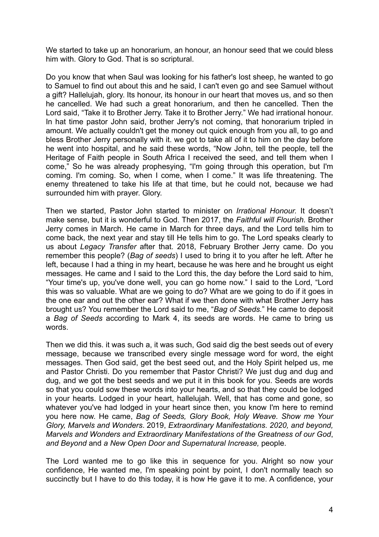We started to take up an honorarium, an honour, an honour seed that we could bless him with. Glory to God. That is so scriptural.

Do you know that when Saul was looking for his father's lost sheep, he wanted to go to Samuel to find out about this and he said, I can't even go and see Samuel without a gift? Hallelujah, glory. Its honour, its honour in our heart that moves us, and so then he cancelled. We had such a great honorarium, and then he cancelled. Then the Lord said, "Take it to Brother Jerry. Take it to Brother Jerry." We had irrational honour. In hat time pastor John said, brother Jerry's not coming, that honorarium tripled in amount. We actually couldn't get the money out quick enough from you all, to go and bless Brother Jerry personally with it. we got to take all of it to him on the day before he went into hospital, and he said these words, "Now John, tell the people, tell the Heritage of Faith people in South Africa I received the seed, and tell them when I come," So he was already prophesying, "I'm going through this operation, but I'm coming. I'm coming. So, when I come, when I come." It was life threatening. The enemy threatened to take his life at that time, but he could not, because we had surrounded him with prayer. Glory.

Then we started, Pastor John started to minister on *Irrational Honour.* It doesn't make sense, but it is wonderful to God. Then 2017, the *Faithful will Flourish.* Brother Jerry comes in March. He came in March for three days, and the Lord tells him to come back, the next year and stay till He tells him to go. The Lord speaks clearly to us about *Legacy Transfer* after that. 2018, February Brother Jerry came. Do you remember this people? (*Bag of seeds*) I used to bring it to you after he left. After he left, because I had a thing in my heart, because he was here and he brought us eight messages. He came and I said to the Lord this, the day before the Lord said to him, "Your time's up, you've done well, you can go home now." I said to the Lord, "Lord this was so valuable. What are we going to do? What are we going to do if it goes in the one ear and out the other ear? What if we then done with what Brother Jerry has brought us? You remember the Lord said to me, "*Bag of Seeds.*" He came to deposit a *Bag of Seeds* according to Mark 4, its seeds are words. He came to bring us words.

Then we did this. it was such a, it was such, God said dig the best seeds out of every message, because we transcribed every single message word for word, the eight messages. Then God said, get the best seed out, and the Holy Spirit helped us, me and Pastor Christi. Do you remember that Pastor Christi? We just dug and dug and dug, and we got the best seeds and we put it in this book for you. Seeds are words so that you could sow these words into your hearts, and so that they could be lodged in your hearts. Lodged in your heart, hallelujah. Well, that has come and gone, so whatever you've had lodged in your heart since then, you know I'm here to remind you here now. He came, *Bag of Seeds, Glory Book, Holy Weave. Show me Your Glory, Marvels and Wonders*. 2019, *Extraordinary Manifestations*. *2020, and beyond, Marvels and Wonders and Extraordinary Manifestations of the Greatness of our God*, *and Beyond* and *a New Open Door and Supernatural Increase,* people.

The Lord wanted me to go like this in sequence for you. Alright so now your confidence, He wanted me, I'm speaking point by point, I don't normally teach so succinctly but I have to do this today, it is how He gave it to me. A confidence, your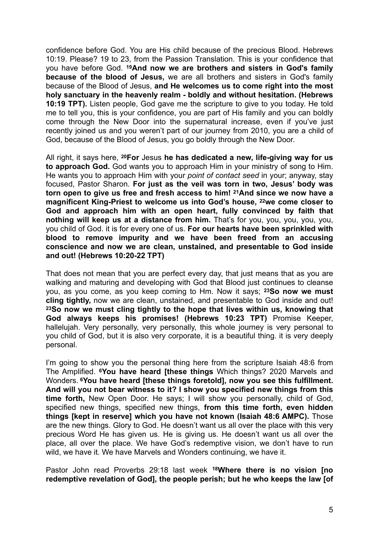confidence before God. You are His child because of the precious Blood. Hebrews 10:19. Please? 19 to 23, from the Passion Translation. This is your confidence that you have before God. **19And now we are brothers and sisters in God's family because of the blood of Jesus,** we are all brothers and sisters in God's family because of the Blood of Jesus, **and He welcomes us to come right into the most holy sanctuary in the heavenly realm - boldly and without hesitation. (Hebrews 10:19 TPT).** Listen people, God gave me the scripture to give to you today. He told me to tell you, this is your confidence, you are part of His family and you can boldly come through the New Door into the supernatural increase, even if you've just recently joined us and you weren't part of our journey from 2010, you are a child of God, because of the Blood of Jesus, you go boldly through the New Door.

All right, it says here, **20For** Jesus **he has dedicated a new, life-giving way for us to approach God.** God wants you to approach Him in your ministry of song to Him. He wants you to approach Him with your *point of contact seed* in your; anyway, stay focused, Pastor Sharon. **For just as the veil was torn in two, Jesus' body was torn open to give us free and fresh access to him! 21And since we now have a magnificent King-Priest to welcome us into God's house, 22we come closer to God and approach him with an open heart, fully convinced by faith that nothing will keep us at a distance from him.** That's for you, you, you, you, you, you child of God. it is for every one of us. **For our hearts have been sprinkled with blood to remove impurity and we have been freed from an accusing conscience and now we are clean, unstained, and presentable to God inside and out! (Hebrews 10:20-22 TPT)**

That does not mean that you are perfect every day, that just means that as you are walking and maturing and developing with God that Blood just continues to cleanse you, as you come, as you keep coming to Hm. Now it says; **23So now we must cling tightly,** now we are clean, unstained, and presentable to God inside and out! **23So now we must cling tightly to the hope that lives within us, knowing that God always keeps his promises! (Hebrews 10:23 TPT)** Promise Keeper, hallelujah. Very personally, very personally, this whole journey is very personal to you child of God, but it is also very corporate, it is a beautiful thing. it is very deeply personal.

I'm going to show you the personal thing here from the scripture Isaiah 48:6 from The Amplified. **6You have heard [these things** Which things? 2020 Marvels and Wonders. **6You have heard [these things foretold], now you see this fulfillment. And will you not bear witness to it? I show you specified new things from this time forth,** New Open Door. He says; I will show you personally, child of God, specified new things, specified new things, **from this time forth, even hidden things [kept in reserve] which you have not known (Isaiah 48:6 AMPC).** Those are the new things. Glory to God. He doesn't want us all over the place with this very precious Word He has given us. He is giving us. He doesn't want us all over the place, all over the place. We have God's redemptive vision, we don't have to run wild, we have it. We have Marvels and Wonders continuing, we have it.

Pastor John read Proverbs 29:18 last week **18Where there is no vision [no redemptive revelation of God], the people perish; but he who keeps the law [of**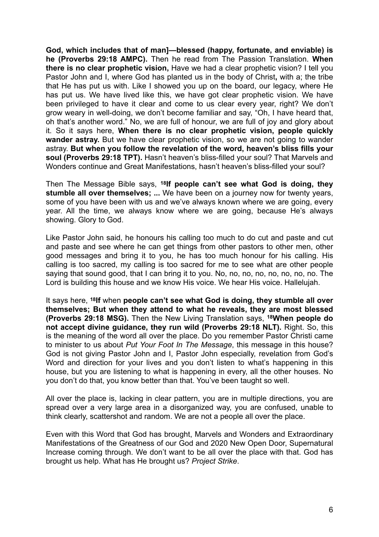**God, which includes that of man]—blessed (happy, fortunate, and enviable) is he (Proverbs 29:18 AMPC).** Then he read from The Passion Translation. **When there is no clear prophetic vision,** Have we had a clear prophetic vision? I tell you Pastor John and I, where God has planted us in the body of Christ**,** with a; the tribe that He has put us with. Like I showed you up on the board, our legacy, where He has put us. We have lived like this, we have got clear prophetic vision. We have been privileged to have it clear and come to us clear every year, right? We don't grow weary in well-doing, we don't become familiar and say, "Oh, I have heard that, oh that's another word." No, we are full of honour, we are full of joy and glory about it. So it says here, **When there is no clear prophetic vision, people quickly wander astray.** But we have clear prophetic vision, so we are not going to wander astray. **But when you follow the revelation of the word, heaven's bliss fills your soul (Proverbs 29:18 TPT).** Hasn't heaven's bliss-filled your soul? That Marvels and Wonders continue and Great Manifestations, hasn't heaven's bliss-filled your soul?

Then The Message Bible says, **18If people can't see what God is doing, they stumble all over themselves; ...** We have been on a journey now for twenty years, some of you have been with us and we've always known where we are going, every year. All the time, we always know where we are going, because He's always showing. Glory to God.

Like Pastor John said, he honours his calling too much to do cut and paste and cut and paste and see where he can get things from other pastors to other men, other good messages and bring it to you, he has too much honour for his calling. His calling is too sacred, my calling is too sacred for me to see what are other people saying that sound good, that I can bring it to you. No, no, no, no, no, no, no, no. The Lord is building this house and we know His voice. We hear His voice. Hallelujah.

It says here, **18If** when **people can't see what God is doing, they stumble all over themselves; But when they attend to what he reveals, they are most blessed (Proverbs 29:18 MSG).** Then the New Living Translation says, **18When people do not accept divine guidance, they run wild (Proverbs 29:18 NLT).** Right. So, this is the meaning of the word all over the place. Do you remember Pastor Christi came to minister to us about *Put Your Foot In The Message*, this message in this house? God is not giving Pastor John and I, Pastor John especially, revelation from God's Word and direction for your lives and you don't listen to what's happening in this house, but you are listening to what is happening in every, all the other houses. No you don't do that, you know better than that. You've been taught so well.

All over the place is, lacking in clear pattern, you are in multiple directions, you are spread over a very large area in a disorganized way, you are confused, unable to think clearly, scattershot and random. We are not a people all over the place.

Even with this Word that God has brought, Marvels and Wonders and Extraordinary Manifestations of the Greatness of our God and 2020 New Open Door, Supernatural Increase coming through. We don't want to be all over the place with that. God has brought us help. What has He brought us? *Project Strike*.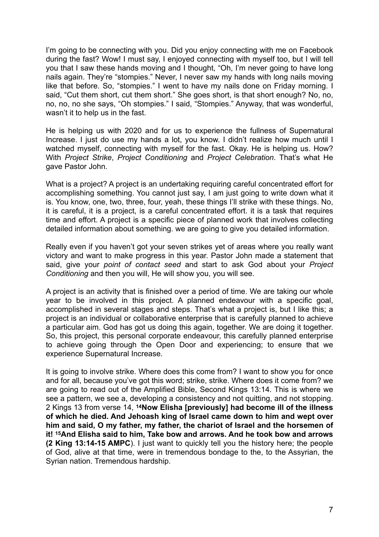I'm going to be connecting with you. Did you enjoy connecting with me on Facebook during the fast? Wow! I must say, I enjoyed connecting with myself too, but I will tell you that I saw these hands moving and I thought, "Oh, I'm never going to have long nails again. They're "stompies." Never, I never saw my hands with long nails moving like that before. So, "stompies." I went to have my nails done on Friday morning. I said, "Cut them short, cut them short." She goes short, is that short enough? No, no, no, no, no she says, "Oh stompies." I said, "Stompies." Anyway, that was wonderful, wasn't it to help us in the fast.

He is helping us with 2020 and for us to experience the fullness of Supernatural Increase. I just do use my hands a lot, you know. I didn't realize how much until I watched myself, connecting with myself for the fast. Okay. He is helping us. How? With *Project Strike*, *Project Conditioning* and *Project Celebration*. That's what He gave Pastor John.

What is a project? A project is an undertaking requiring careful concentrated effort for accomplishing something. You cannot just say, I am just going to write down what it is. You know, one, two, three, four, yeah, these things I'll strike with these things. No, it is careful, it is a project, is a careful concentrated effort. it is a task that requires time and effort. A project is a specific piece of planned work that involves collecting detailed information about something. we are going to give you detailed information.

Really even if you haven't got your seven strikes yet of areas where you really want victory and want to make progress in this year. Pastor John made a statement that said, give your *point of contact seed* and start to ask God about your *Project Conditioning* and then you will, He will show you, you will see.

A project is an activity that is finished over a period of time. We are taking our whole year to be involved in this project. A planned endeavour with a specific goal, accomplished in several stages and steps. That's what a project is, but I like this; a project is an individual or collaborative enterprise that is carefully planned to achieve a particular aim. God has got us doing this again, together. We are doing it together. So, this project, this personal corporate endeavour, this carefully planned enterprise to achieve going through the Open Door and experiencing; to ensure that we experience Supernatural Increase.

It is going to involve strike. Where does this come from? I want to show you for once and for all, because you've got this word; strike, strike. Where does it come from? we are going to read out of the Amplified Bible, Second Kings 13:14. This is where we see a pattern, we see a, developing a consistency and not quitting, and not stopping. 2 Kings 13 from verse 14, **14Now Elisha [previously] had become ill of the illness of which he died. And Jehoash king of Israel came down to him and wept over him and said, O my father, my father, the chariot of Israel and the horsemen of it! 15And Elisha said to him, Take bow and arrows. And he took bow and arrows (2 King 13:14-15 AMPC**). I just want to quickly tell you the history here; the people of God, alive at that time, were in tremendous bondage to the, to the Assyrian, the Syrian nation. Tremendous hardship.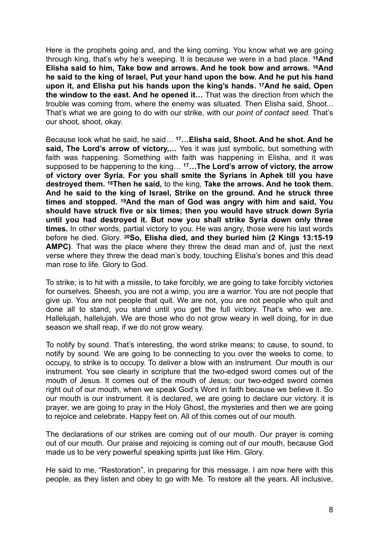Here is the prophets going and, and the king coming. You know what we are going through king, that's why he's weeping. It is because we were in a bad place. **15And Elisha said to him, Take bow and arrows. And he took bow and arrows. 16And he said to the king of Israel, Put your hand upon the bow. And he put his hand upon it, and Elisha put his hands upon the king's hands. 17And he said, Open the window to the east. And he opened it…** That was the direction from which the trouble was coming from, where the enemy was situated. Then Elisha said, Shoot... That's what we are going to do with our strike, with our *point of contact seed*. That's our shoot, shoot, okay.

Because look what he said, he said… **17…Elisha said, Shoot. And he shot. And he**  said, The Lord's arrow of victory,... Yes it was just symbolic, but something with faith was happening. Something with faith was happening in Elisha, and it was supposed to be happening to the king… **17…The Lord's arrow of victory, the arrow of victory over Syria. For you shall smite the Syrians in Aphek till you have destroyed them. 18Then he said,** to the king, **Take the arrows. And he took them. And he said to the king of Israel, Strike on the ground. And he struck three times and stopped. 19And the man of God was angry with him and said, You should have struck five or six times; then you would have struck down Syria until you had destroyed it. But now you shall strike Syria down only three times.** In other words, partial victory to you. He was angry, those were his last words before he died. Glory. **20So, Elisha died, and they buried him (2 Kings 13:15-19 AMPC)**. That was the place where they threw the dead man and of, just the next verse where they threw the dead man's body, touching Elisha's bones and this dead man rose to life. Glory to God.

To strike; is to hit with a missile, to take forcibly, we are going to take forcibly victories for ourselves. Sheesh, you are not a wimp, you are a warrior. You are not people that give up. You are not people that quit. We are not, you are not people who quit and done all to stand, you stand until you get the full victory. That's who we are. Hallelujah, hallelujah. We are those who do not grow weary in well doing, for in due season we shall reap, if we do not grow weary.

To notify by sound. That's interesting, the word strike means; to cause, to sound, to notify by sound. We are going to be connecting to you over the weeks to come, to occupy, to strike is to occupy. To deliver a blow with an instrument. Our mouth is our instrument. You see clearly in scripture that the two-edged sword comes out of the mouth of Jesus. It comes out of the mouth of Jesus; our two-edged sword comes right out of our mouth, when we speak God's Word in faith because we believe it. So our mouth is our instrument. it is declared, we are going to declare our victory. it is prayer, we are going to pray in the Holy Ghost, the mysteries and then we are going to rejoice and celebrate. Happy feet on. All of this comes out of our mouth.

The declarations of our strikes are coming out of our mouth. Our prayer is coming out of our mouth. Our praise and rejoicing is coming out of our mouth, because God made us to be very powerful speaking spirits just like Him. Glory.

He said to me, "Restoration", in preparing for this message. I am now here with this people, as they listen and obey to go with Me. To restore all the years. All inclusive,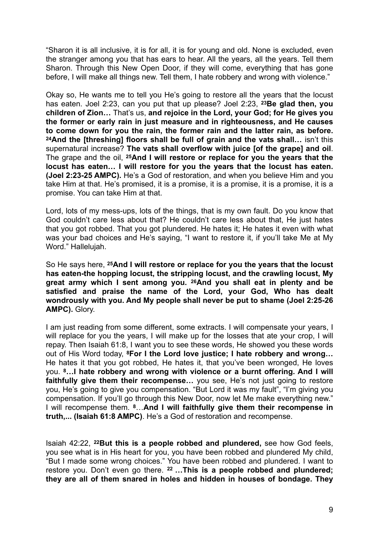"Sharon it is all inclusive, it is for all, it is for young and old. None is excluded, even the stranger among you that has ears to hear. All the years, all the years. Tell them Sharon. Through this New Open Door, if they will come, everything that has gone before, I will make all things new. Tell them, I hate robbery and wrong with violence."

Okay so, He wants me to tell you He's going to restore all the years that the locust has eaten. Joel 2:23, can you put that up please? Joel 2:23, **23Be glad then, you children of Zion…** That's us, **and rejoice in the Lord, your God; for He gives you the former or early rain in just measure and in righteousness, and He causes to come down for you the rain, the former rain and the latter rain, as before. 24And the [threshing] floors shall be full of grain and the vats shall…** isn't this supernatural increase? **The vats shall overflow with juice [of the grape] and oil**. The grape and the oil, **25And I will restore or replace for you the years that the locust has eaten… I will restore for you the years that the locust has eaten. (Joel 2:23-25 AMPC).** He's a God of restoration, and when you believe Him and you take Him at that. He's promised, it is a promise, it is a promise, it is a promise, it is a promise. You can take Him at that.

Lord, lots of my mess-ups, lots of the things, that is my own fault. Do you know that God couldn't care less about that? He couldn't care less about that, He just hates that you got robbed. That you got plundered. He hates it; He hates it even with what was your bad choices and He's saying, "I want to restore it, if you'll take Me at My Word." Hallelujah.

So He says here, **25And I will restore or replace for you the years that the locust has eaten-the hopping locust, the stripping locust, and the crawling locust, My great army which I sent among you. 26And you shall eat in plenty and be satisfied and praise the name of the Lord, your God, Who has dealt wondrously with you. And My people shall never be put to shame (Joel 2:25-26 AMPC).** Glory.

I am just reading from some different, some extracts. I will compensate your years, I will replace for you the years, I will make up for the losses that ate your crop, I will repay. Then Isaiah 61:8, I want you to see these words, He showed you these words out of His Word today, **8For I the Lord love justice; I hate robbery and wrong…** He hates it that you got robbed, He hates it, that you've been wronged, He loves you. **8…I hate robbery and wrong with violence or a burnt offering. And I will faithfully give them their recompense…** you see, He's not just going to restore you, He's going to give you compensation. "But Lord it was my fault", "I'm giving you compensation. If you'll go through this New Door, now let Me make everything new." I will recompense them. **8**…**And I will faithfully give them their recompense in truth,... (Isaiah 61:8 AMPC)**. He's a God of restoration and recompense.

Isaiah 42:22, **22But this is a people robbed and plundered,** see how God feels, you see what is in His heart for you, you have been robbed and plundered My child, "But I made some wrong choices." You have been robbed and plundered. I want to restore you. Don't even go there. **22 …This is a people robbed and plundered; they are all of them snared in holes and hidden in houses of bondage. They**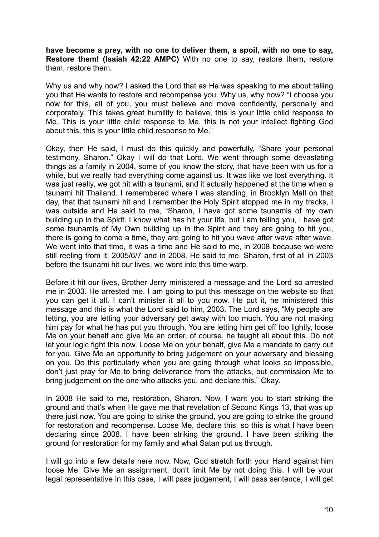**have become a prey, with no one to deliver them, a spoil, with no one to say, Restore them! (Isaiah 42:22 AMPC)** With no one to say, restore them, restore them, restore them.

Why us and why now? I asked the Lord that as He was speaking to me about telling you that He wants to restore and recompense you. Why us, why now? "I choose you now for this, all of you, you must believe and move confidently, personally and corporately. This takes great humility to believe, this is your little child response to Me. This is your little child response to Me, this is not your intellect fighting God about this, this is your little child response to Me."

Okay, then He said, I must do this quickly and powerfully, "Share your personal testimony, Sharon." Okay I will do that Lord. We went through some devastating things as a family in 2004, some of you know the story, that have been with us for a while, but we really had everything come against us. It was like we lost everything. It was just really, we got hit with a tsunami, and it actually happened at the time when a tsunami hit Thailand. I remembered where I was standing, in Brooklyn Mall on that day, that that tsunami hit and I remember the Holy Spirit stopped me in my tracks, I was outside and He said to me, "Sharon, I have got some tsunamis of my own building up in the Spirit. I know what has hit your life, but I am telling you, I have got some tsunamis of My Own building up in the Spirit and they are going to hit you, there is going to come a time, they are going to hit you wave after wave after wave. We went into that time, it was a time and He said to me, in 2008 because we were still reeling from it, 2005/6/7 and in 2008. He said to me, Sharon, first of all in 2003 before the tsunami hit our lives, we went into this time warp.

Before it hit our lives, Brother Jerry ministered a message and the Lord so arrested me in 2003. He arrested me. I am going to put this message on the website so that you can get it all. I can't minister it all to you now. He put it, he ministered this message and this is what the Lord said to him, 2003. The Lord says, "My people are letting, you are letting your adversary get away with too much. You are not making him pay for what he has put you through. You are letting him get off too lightly, loose Me on your behalf and give Me an order, of course, he taught all about this. Do not let your logic fight this now. Loose Me on your behalf, give Me a mandate to carry out for you. Give Me an opportunity to bring judgement on your adversary and blessing on you. Do this particularly when you are going through what looks so impossible, don't just pray for Me to bring deliverance from the attacks, but commission Me to bring judgement on the one who attacks you, and declare this." Okay.

In 2008 He said to me, restoration, Sharon. Now, I want you to start striking the ground and that's when He gave me that revelation of Second Kings 13, that was up there just now. You are going to strike the ground, you are going to strike the ground for restoration and recompense. Loose Me, declare this, so this is what I have been declaring since 2008. I have been striking the ground. I have been striking the ground for restoration for my family and what Satan put us through.

I will go into a few details here now. Now, God stretch forth your Hand against him loose Me. Give Me an assignment, don't limit Me by not doing this. I will be your legal representative in this case, I will pass judgement, I will pass sentence, I will get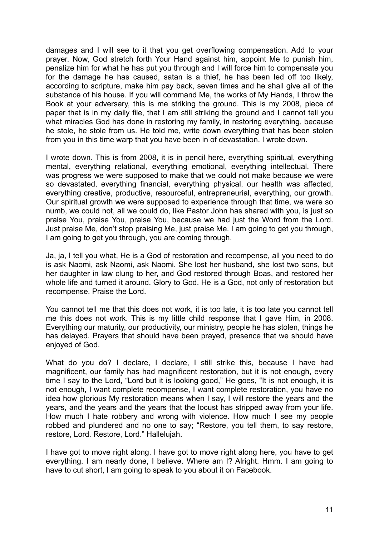damages and I will see to it that you get overflowing compensation. Add to your prayer. Now, God stretch forth Your Hand against him, appoint Me to punish him, penalize him for what he has put you through and I will force him to compensate you for the damage he has caused, satan is a thief, he has been led off too likely, according to scripture, make him pay back, seven times and he shall give all of the substance of his house. If you will command Me, the works of My Hands, I throw the Book at your adversary, this is me striking the ground. This is my 2008, piece of paper that is in my daily file, that I am still striking the ground and I cannot tell you what miracles God has done in restoring my family, in restoring everything, because he stole, he stole from us. He told me, write down everything that has been stolen from you in this time warp that you have been in of devastation. I wrote down.

I wrote down. This is from 2008, it is in pencil here, everything spiritual, everything mental, everything relational, everything emotional, everything intellectual. There was progress we were supposed to make that we could not make because we were so devastated, everything financial, everything physical, our health was affected, everything creative, productive, resourceful, entrepreneurial, everything, our growth. Our spiritual growth we were supposed to experience through that time, we were so numb, we could not, all we could do, like Pastor John has shared with you, is just so praise You, praise You, praise You, because we had just the Word from the Lord. Just praise Me, don't stop praising Me, just praise Me. I am going to get you through, I am going to get you through, you are coming through.

Ja, ja, I tell you what, He is a God of restoration and recompense, all you need to do is ask Naomi, ask Naomi, ask Naomi. She lost her husband, she lost two sons, but her daughter in law clung to her, and God restored through Boas, and restored her whole life and turned it around. Glory to God. He is a God, not only of restoration but recompense. Praise the Lord.

You cannot tell me that this does not work, it is too late, it is too late you cannot tell me this does not work. This is my little child response that I gave Him, in 2008. Everything our maturity, our productivity, our ministry, people he has stolen, things he has delayed. Prayers that should have been prayed, presence that we should have enjoyed of God.

What do you do? I declare, I declare, I still strike this, because I have had magnificent, our family has had magnificent restoration, but it is not enough, every time I say to the Lord, "Lord but it is looking good," He goes, "It is not enough, it is not enough, I want complete recompense, I want complete restoration, you have no idea how glorious My restoration means when I say, I will restore the years and the years, and the years and the years that the locust has stripped away from your life. How much I hate robbery and wrong with violence. How much I see my people robbed and plundered and no one to say; "Restore, you tell them, to say restore, restore, Lord. Restore, Lord." Hallelujah.

I have got to move right along. I have got to move right along here, you have to get everything. I am nearly done, I believe. Where am I? Alright. Hmm. I am going to have to cut short, I am going to speak to you about it on Facebook.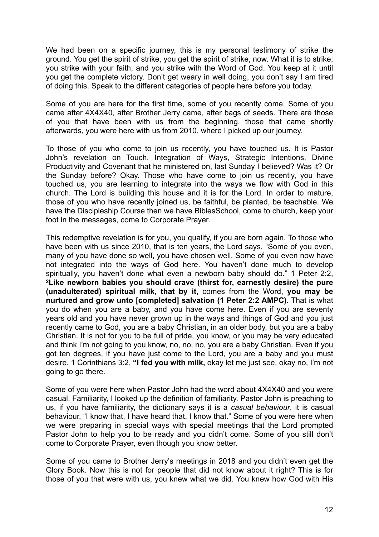We had been on a specific journey, this is my personal testimony of strike the ground. You get the spirit of strike, you get the spirit of strike, now. What it is to strike; you strike with your faith, and you strike with the Word of God. You keep at it until you get the complete victory. Don't get weary in well doing, you don't say I am tired of doing this. Speak to the different categories of people here before you today.

Some of you are here for the first time, some of you recently come. Some of you came after 4X4X40, after Brother Jerry came, after bags of seeds. There are those of you that have been with us from the beginning, those that came shortly afterwards, you were here with us from 2010, where I picked up our journey.

To those of you who come to join us recently, you have touched us. It is Pastor John's revelation on Touch, Integration of Ways, Strategic Intentions, Divine Productivity and Covenant that he ministered on, last Sunday I believed? Was it? Or the Sunday before? Okay. Those who have come to join us recently, you have touched us, you are learning to integrate into the ways we flow with God in this church. The Lord is building this house and it is for the Lord. In order to mature, those of you who have recently joined us, be faithful, be planted, be teachable. We have the Discipleship Course then we have BiblesSchool, come to church, keep your foot in the messages, come to Corporate Prayer.

This redemptive revelation is for you, you qualify, if you are born again. To those who have been with us since 2010, that is ten years, the Lord says, "Some of you even, many of you have done so well, you have chosen well. Some of you even now have not integrated into the ways of God here. You haven't done much to develop spiritually, you haven't done what even a newborn baby should do." 1 Peter 2:2, **2Like newborn babies you should crave (thirst for, earnestly desire) the pure (unadulterated) spiritual milk, that by it,** comes from the Word, **you may be nurtured and grow unto [completed] salvation (1 Peter 2:2 AMPC).** That is what you do when you are a baby, and you have come here. Even if you are seventy years old and you have never grown up in the ways and things of God and you just recently came to God, you are a baby Christian, in an older body, but you are a baby Christian. It is not for you to be full of pride, you know, or you may be very educated and think I'm not going to you know, no, no, no, you are a baby Christian. Even if you got ten degrees, if you have just come to the Lord, you are a baby and you must desire. 1 Corinthians 3:2, **"I fed you with milk,** okay let me just see, okay no, I'm not going to go there.

Some of you were here when Pastor John had the word about 4X4X40 and you were casual. Familiarity, I looked up the definition of familiarity. Pastor John is preaching to us, if you have familiarity, the dictionary says it is a *casual behaviour*, it is casual behaviour, "I know that, I have heard that, I know that." Some of you were here when we were preparing in special ways with special meetings that the Lord prompted Pastor John to help you to be ready and you didn't come. Some of you still don't come to Corporate Prayer, even though you know better.

Some of you came to Brother Jerry's meetings in 2018 and you didn't even get the Glory Book. Now this is not for people that did not know about it right? This is for those of you that were with us, you knew what we did. You knew how God with His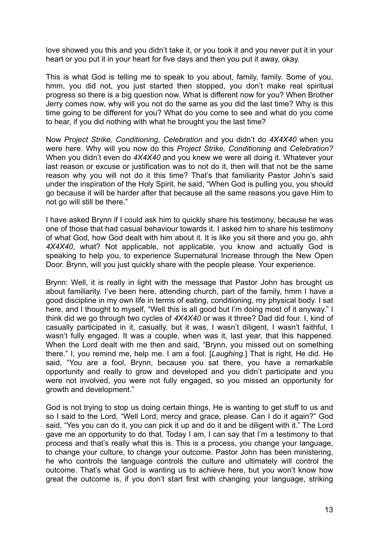love showed you this and you didn't take it, or you took it and you never put it in your heart or you put it in your heart for five days and then you put it away, okay.

This is what God is telling me to speak to you about, family, family. Some of you, hmm, you did not, you just started then stopped, you don't make real spiritual progress so there is a big question now. What is different now for you? When Brother Jerry comes now, why will you not do the same as you did the last time? Why is this time going to be different for you? What do you come to see and what do you come to hear, if you did nothing with what he brought you the last time?

Now *Project Strike, Conditioning, Celebration* and you didn't do *4X4X40* when you were here. Why will you now do this *Project Strike, Conditioning* and *Celebration?* When you didn't even do *4X4X40* and you knew we were all doing it. Whatever your last reason or excuse or justification was to not do it, then will that not be the same reason why you will not do it this time? That's that familiarity Pastor John's said under the inspiration of the Holy Spirit, he said, "When God is pulling you, you should go because it will be harder after that because all the same reasons you gave Him to not go will still be there."

I have asked Brynn if I could ask him to quickly share his testimony, because he was one of those that had casual behaviour towards it. I asked him to share his testimony of what God, how God dealt with him about it. It is like you sit there and you go, ahh *4X4X40*, what? Not applicable, not applicable, you know and actually God is speaking to help you, to experience Supernatural Increase through the New Open Door. Brynn, will you just quickly share with the people please. Your experience.

Brynn: Well, it is really in light with the message that Pastor John has brought us about familiarity. I've been here, attending church, part of the family, hmm I have a good discipline in my own life in terms of eating, conditioning, my physical body. I sat here, and I thought to myself, "Well this is all good but I'm doing most of it anyway." I think did we go through two cycles of *4X4X40* or was it three? Dad did four. I, kind of casually participated in it, casually, but it was, I wasn't diligent, I wasn't faithful, I wasn't fully engaged. It was a couple, when was it, last year, that this happened. When the Lord dealt with me then and said, "Brynn, you missed out on something there." I, you remind me, help me. I am a fool. [*Laughing*.] That is right, He did. He said, "You are a fool, Brynn, because you sat there, you have a remarkable opportunity and really to grow and developed and you didn't participate and you were not involved, you were not fully engaged, so you missed an opportunity for growth and development."

God is not trying to stop us doing certain things, He is wanting to get stuff to us and so I said to the Lord, "Well Lord, mercy and grace, please. Can I do it again?" God said, "Yes you can do it, you can pick it up and do it and be diligent with it." The Lord gave me an opportunity to do that. Today I am, I can say that I'm a testimony to that process and that's really what this is. This is a process, you change your language, to change your culture, to change your outcome. Pastor John has been ministering, he who controls the language controls the culture and ultimately will control the outcome. That's what God is wanting us to achieve here, but you won't know how great the outcome is, if you don't start first with changing your language, striking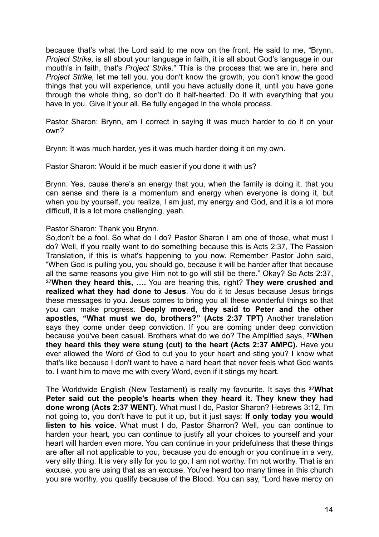because that's what the Lord said to me now on the front, He said to me, "Brynn, *Project Strike,* is all about your language in faith, it is all about God's language in our mouth's in faith, that's *Project Strike*." This is the process that we are in, here and *Project Strike,* let me tell you, you don't know the growth, you don't know the good things that you will experience, until you have actually done it, until you have gone through the whole thing, so don't do it half-hearted. Do it with everything that you have in you. Give it your all. Be fully engaged in the whole process.

Pastor Sharon: Brynn, am I correct in saying it was much harder to do it on your own?

Brynn: It was much harder, yes it was much harder doing it on my own.

Pastor Sharon: Would it be much easier if you done it with us?

Brynn: Yes, cause there's an energy that you, when the family is doing it, that you can sense and there is a momentum and energy when everyone is doing it, but when you by yourself, you realize, I am just, my energy and God, and it is a lot more difficult, it is a lot more challenging, yeah.

Pastor Sharon: Thank you Brynn.

So,don't be a fool. So what do I do? Pastor Sharon I am one of those, what must I do? Well, if you really want to do something because this is Acts 2:37, The Passion Translation, if this is what's happening to you now. Remember Pastor John said, "When God is pulling you, you should go, because it will be harder after that because all the same reasons you give Him not to go will still be there." Okay? So Acts 2:37, **37When they heard this, ….** You are hearing this, right? **They were crushed and realized what they had done to Jesus**. You do it to Jesus because Jesus brings these messages to you. Jesus comes to bring you all these wonderful things so that you can make progress. **Deeply moved, they said to Peter and the other apostles, "What must we do, brothers?" (Acts 2:37 TPT)** Another translation says they come under deep conviction. If you are coming under deep conviction because you've been casual. Brothers what do we do? The Amplified says, **37When they heard this they were stung (cut) to the heart (Acts 2:37 AMPC).** Have you ever allowed the Word of God to cut you to your heart and sting you? I know what that's like because I don't want to have a hard heart that never feels what God wants to. I want him to move me with every Word, even if it stings my heart.

The Worldwide English (New Testament) is really my favourite. It says this **37What Peter said cut the people's hearts when they heard it. They knew they had done wrong (Acts 2:37 WENT).** What must I do, Pastor Sharon? Hebrews 3:12, I'm not going to, you don't have to put it up, but it just says: **If only today you would listen to his voice**. What must I do, Pastor Sharron? Well, you can continue to harden your heart, you can continue to justify all your choices to yourself and your heart will harden even more. You can continue in your pridefulness that these things are after all not applicable to you, because you do enough or you continue in a very, very silly thing. It is very silly for you to go, I am not worthy. I'm not worthy. That is an excuse, you are using that as an excuse. You've heard too many times in this church you are worthy, you qualify because of the Blood. You can say, "Lord have mercy on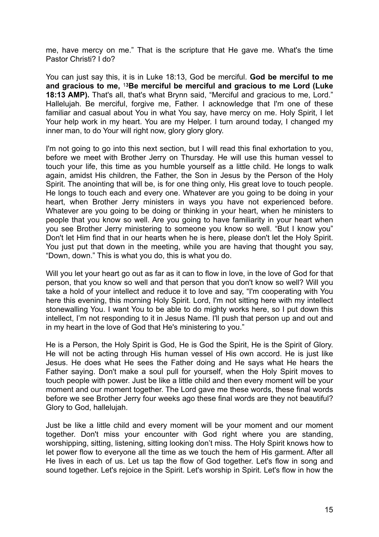me, have mercy on me." That is the scripture that He gave me. What's the time Pastor Christi? I do?

You can just say this, it is in Luke 18:13, God be merciful. **God be merciful to me and gracious to me,** <sup>1</sup>**3Be merciful be merciful and gracious to me Lord (Luke 18:13 AMP).** That's all, that's what Brynn said, "Merciful and gracious to me, Lord." Hallelujah. Be merciful, forgive me, Father. I acknowledge that I'm one of these familiar and casual about You in what You say, have mercy on me. Holy Spirit, I let Your help work in my heart. You are my Helper. I turn around today, I changed my inner man, to do Your will right now, glory glory glory.

I'm not going to go into this next section, but I will read this final exhortation to you, before we meet with Brother Jerry on Thursday. He will use this human vessel to touch your life, this time as you humble yourself as a little child. He longs to walk again, amidst His children, the Father, the Son in Jesus by the Person of the Holy Spirit. The anointing that will be, is for one thing only, His great love to touch people. He longs to touch each and every one. Whatever are you going to be doing in your heart, when Brother Jerry ministers in ways you have not experienced before. Whatever are you going to be doing or thinking in your heart, when he ministers to people that you know so well. Are you going to have familiarity in your heart when you see Brother Jerry ministering to someone you know so well. "But I know you" Don't let Him find that in our hearts when he is here, please don't let the Holy Spirit. You just put that down in the meeting, while you are having that thought you say, "Down, down." This is what you do, this is what you do.

Will you let your heart go out as far as it can to flow in love, in the love of God for that person, that you know so well and that person that you don't know so well? Will you take a hold of your intellect and reduce it to love and say, "I'm cooperating with You here this evening, this morning Holy Spirit. Lord, I'm not sitting here with my intellect stonewalling You. I want You to be able to do mighty works here, so I put down this intellect, I'm not responding to it in Jesus Name. I'll push that person up and out and in my heart in the love of God that He's ministering to you."

He is a Person, the Holy Spirit is God, He is God the Spirit, He is the Spirit of Glory. He will not be acting through His human vessel of His own accord. He is just like Jesus. He does what He sees the Father doing and He says what He hears the Father saying. Don't make a soul pull for yourself, when the Holy Spirit moves to touch people with power. Just be like a little child and then every moment will be your moment and our moment together. The Lord gave me these words, these final words before we see Brother Jerry four weeks ago these final words are they not beautiful? Glory to God, hallelujah.

Just be like a little child and every moment will be your moment and our moment together. Don't miss your encounter with God right where you are standing, worshipping, sitting, listening, sitting looking don't miss. The Holy Spirit knows how to let power flow to everyone all the time as we touch the hem of His garment. After all He lives in each of us. Let us tap the flow of God together. Let's flow in song and sound together. Let's rejoice in the Spirit. Let's worship in Spirit. Let's flow in how the